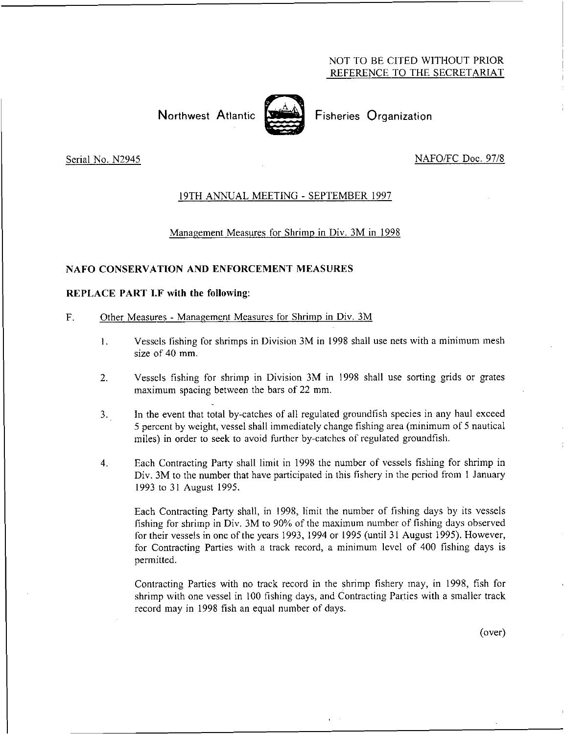# NOT TO BE CITED WITHOUT PRIOR REFERENCE TO THE SECRETARIAT

# Northwest Atlantic **Second** Fisheries Organization



# Serial No. N2945 NAFO/FC Doc. 97/8

### 19TH ANNUAL MEETING - SEPTEMBER 1997

### Management Measures for Shrimp in Div. 3M in 1998

#### NAFO CONSERVATION AND ENFORCEMENT MEASURES

#### REPLACE PART LF with the following:

#### F. Other Measures - Management Measures for Shrimp in Div. 3M

- 1. Vessels fishing for shrimps in Division 3M in 1998 shall use nets with a minimum mesh size of 40 mm.
- 2. Vessels fishing for shrimp in Division 3M in 1998 shall use sorting grids or grates maximum spacing between the bars of 22 mm.
- 3. In the event that total by-catches of all regulated groundfish species in any haul exceed 5 percent by weight, vessel shall immediately change fishing area (minimum of 5 nautical miles) in order to seek to avoid further by-catches of regulated groundfish.
- 4. Each Contracting Party shall limit in 1998 the number of vessels fishing for shrimp in Div. 3M to the number that have participated in this fishery in the period from 1 January 1993 to 31 August 1995.

Each Contracting Party shall, in 1998, limit the number of fishing days by its vessels fishing for shrimp in Div. 3M to 90% of the maximum number of fishing days observed for their vessels in one of the years 1993, 1994 or 1995 (until 31 August 1995). However, for Contracting Parties with a track record, a minimum level of 400 fishing days is permitted.

Contracting Parties with no track record in the shrimp fishery may, in 1998, fish for shrimp with one vessel in 100 fishing days, and Contracting Parties with a smaller track record may in 1998 fish an equal number of days.

(over)